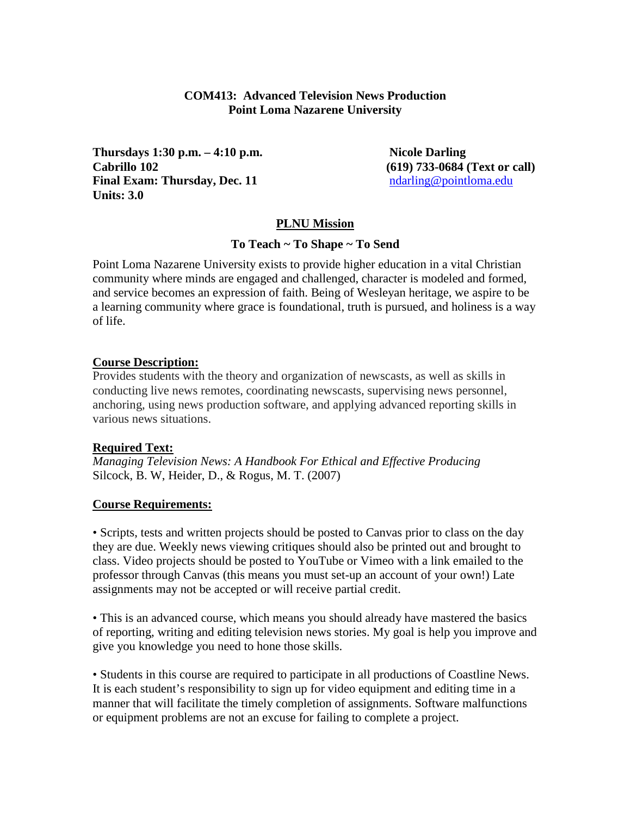### **COM413: Advanced Television News Production Point Loma Nazarene University**

**Thursdays 1:30 p.m.** – 4:10 p.m. Nicole Darling **Cabrillo 102 (619) 733-0684 (Text or call) Final Exam: Thursday, Dec. 11** [ndarling@pointloma.edu](mailto:ndarling@pointloma.edu) **Units: 3.0**

### **PLNU Mission**

#### **To Teach ~ To Shape ~ To Send**

Point Loma Nazarene University exists to provide higher education in a vital Christian community where minds are engaged and challenged, character is modeled and formed, and service becomes an expression of faith. Being of Wesleyan heritage, we aspire to be a learning community where grace is foundational, truth is pursued, and holiness is a way of life.

#### **Course Description:**

Provides students with the theory and organization of newscasts, as well as skills in conducting live news remotes, coordinating newscasts, supervising news personnel, anchoring, using news production software, and applying advanced reporting skills in various news situations.

#### **Required Text:**

*Managing Television News: A Handbook For Ethical and Effective Producing* Silcock, B. W, Heider, D., & Rogus, M. T. (2007)

## **Course Requirements:**

• Scripts, tests and written projects should be posted to Canvas prior to class on the day they are due. Weekly news viewing critiques should also be printed out and brought to class. Video projects should be posted to YouTube or Vimeo with a link emailed to the professor through Canvas (this means you must set-up an account of your own!) Late assignments may not be accepted or will receive partial credit.

• This is an advanced course, which means you should already have mastered the basics of reporting, writing and editing television news stories. My goal is help you improve and give you knowledge you need to hone those skills.

• Students in this course are required to participate in all productions of Coastline News. It is each student's responsibility to sign up for video equipment and editing time in a manner that will facilitate the timely completion of assignments. Software malfunctions or equipment problems are not an excuse for failing to complete a project.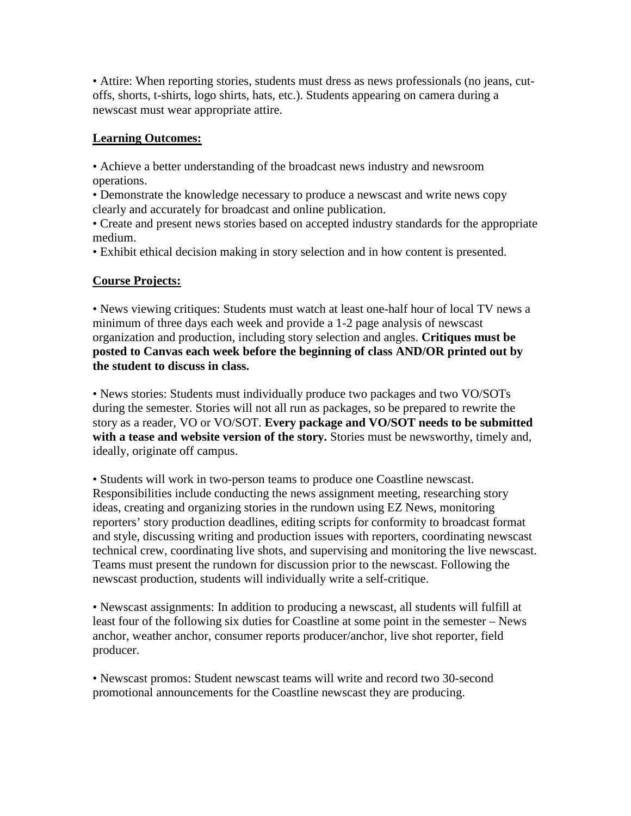• Attire: When reporting stories, students must dress as news professionals (no jeans, cutoffs, shorts, t-shirts, logo shirts, hats, etc.). Students appearing on camera during a newscast must wear appropriate attire.

## **Learning Outcomes:**

• Achieve a better understanding of the broadcast news industry and newsroom operations.

• Demonstrate the knowledge necessary to produce a newscast and write news copy clearly and accurately for broadcast and online publication.

• Create and present news stories based on accepted industry standards for the appropriate medium.

• Exhibit ethical decision making in story selection and in how content is presented.

# **Course Projects:**

• News viewing critiques: Students must watch at least one-half hour of local TV news a minimum of three days each week and provide a 1-2 page analysis of newscast organization and production, including story selection and angles. **Critiques must be posted to Canvas each week before the beginning of class AND/OR printed out by the student to discuss in class.** 

• News stories: Students must individually produce two packages and two VO/SOTs during the semester. Stories will not all run as packages, so be prepared to rewrite the story as a reader, VO or VO/SOT. **Every package and VO/SOT needs to be submitted with a tease and website version of the story.** Stories must be newsworthy, timely and, ideally, originate off campus.

• Students will work in two-person teams to produce one Coastline newscast. Responsibilities include conducting the news assignment meeting, researching story ideas, creating and organizing stories in the rundown using EZ News, monitoring reporters' story production deadlines, editing scripts for conformity to broadcast format and style, discussing writing and production issues with reporters, coordinating newscast technical crew, coordinating live shots, and supervising and monitoring the live newscast. Teams must present the rundown for discussion prior to the newscast. Following the newscast production, students will individually write a self-critique.

• Newscast assignments: In addition to producing a newscast, all students will fulfill at least four of the following six duties for Coastline at some point in the semester – News anchor, weather anchor, consumer reports producer/anchor, live shot reporter, field producer.

• Newscast promos: Student newscast teams will write and record two 30-second promotional announcements for the Coastline newscast they are producing.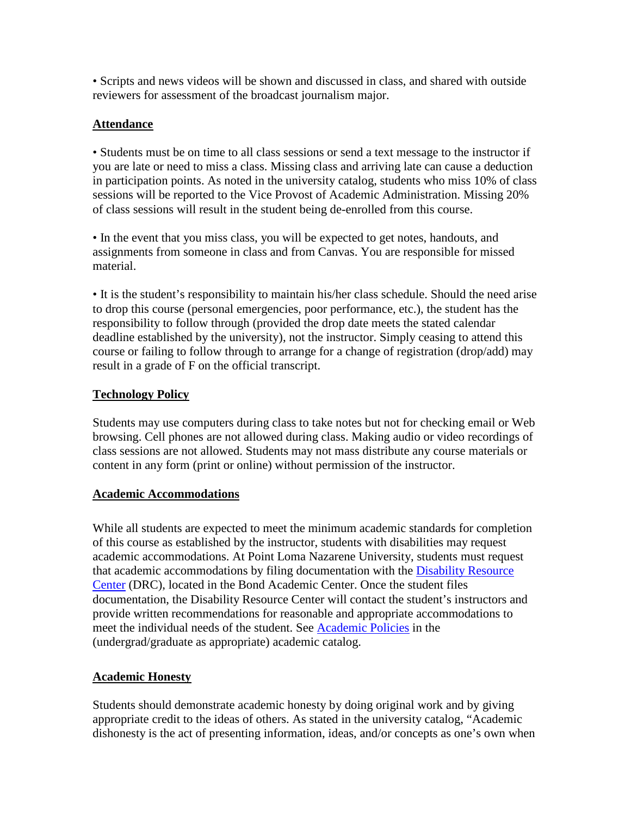• Scripts and news videos will be shown and discussed in class, and shared with outside reviewers for assessment of the broadcast journalism major.

# **Attendance**

• Students must be on time to all class sessions or send a text message to the instructor if you are late or need to miss a class. Missing class and arriving late can cause a deduction in participation points. As noted in the university catalog, students who miss 10% of class sessions will be reported to the Vice Provost of Academic Administration. Missing 20% of class sessions will result in the student being de-enrolled from this course.

• In the event that you miss class, you will be expected to get notes, handouts, and assignments from someone in class and from Canvas. You are responsible for missed material.

• It is the student's responsibility to maintain his/her class schedule. Should the need arise to drop this course (personal emergencies, poor performance, etc.), the student has the responsibility to follow through (provided the drop date meets the stated calendar deadline established by the university), not the instructor. Simply ceasing to attend this course or failing to follow through to arrange for a change of registration (drop/add) may result in a grade of F on the official transcript.

# **Technology Policy**

Students may use computers during class to take notes but not for checking email or Web browsing. Cell phones are not allowed during class. Making audio or video recordings of class sessions are not allowed. Students may not mass distribute any course materials or content in any form (print or online) without permission of the instructor.

# **Academic Accommodations**

While all students are expected to meet the minimum academic standards for completion of this course as established by the instructor, students with disabilities may request academic accommodations. At Point Loma Nazarene University, students must request that academic accommodations by filing documentation with the [Disability Resource](http://www.pointloma.edu/experience/offices/administrative-offices/academic-advising-office/disability-resource-center)  [Center](http://www.pointloma.edu/experience/offices/administrative-offices/academic-advising-office/disability-resource-center) (DRC), located in the Bond Academic Center. Once the student files documentation, the Disability Resource Center will contact the student's instructors and provide written recommendations for reasonable and appropriate accommodations to meet the individual needs of the student. See [Academic Policies](http://www.pointloma.edu/experience/academics/catalogs/undergraduate-catalog/point-loma-education/academic-policies) in the (undergrad/graduate as appropriate) academic catalog.

# **Academic Honesty**

Students should demonstrate academic honesty by doing original work and by giving appropriate credit to the ideas of others. As stated in the university catalog, "Academic dishonesty is the act of presenting information, ideas, and/or concepts as one's own when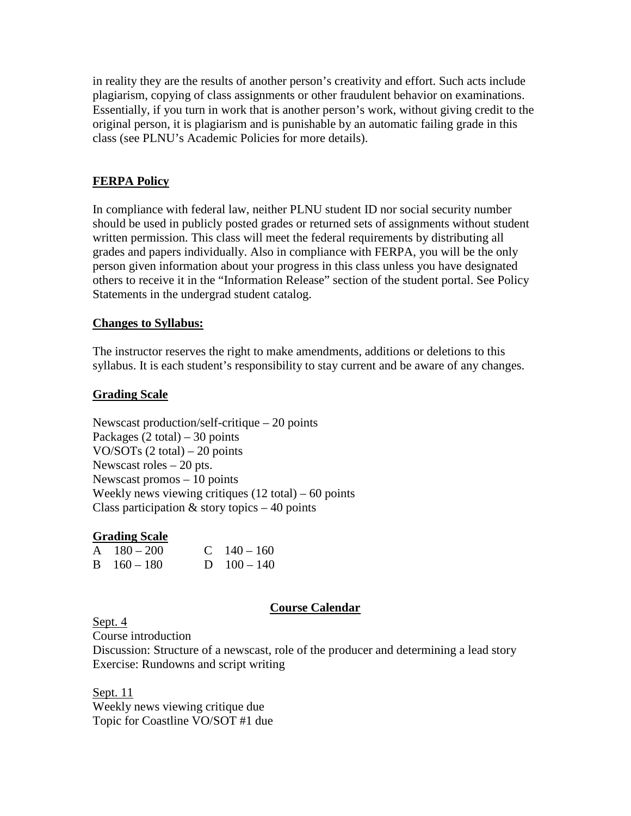in reality they are the results of another person's creativity and effort. Such acts include plagiarism, copying of class assignments or other fraudulent behavior on examinations. Essentially, if you turn in work that is another person's work, without giving credit to the original person, it is plagiarism and is punishable by an automatic failing grade in this class (see PLNU's Academic Policies for more details).

## **FERPA Policy**

In compliance with federal law, neither PLNU student ID nor social security number should be used in publicly posted grades or returned sets of assignments without student written permission. This class will meet the federal requirements by distributing all grades and papers individually. Also in compliance with FERPA, you will be the only person given information about your progress in this class unless you have designated others to receive it in the "Information Release" section of the student portal. See Policy Statements in the undergrad student catalog.

### **Changes to Syllabus:**

The instructor reserves the right to make amendments, additions or deletions to this syllabus. It is each student's responsibility to stay current and be aware of any changes.

## **Grading Scale**

Newscast production/self-critique – 20 points Packages  $(2 \text{ total}) - 30 \text{ points}$ VO/SOTs (2 total) – 20 points Newscast roles – 20 pts. Newscast promos – 10 points Weekly news viewing critiques (12 total) – 60 points Class participation  $&$  story topics  $-40$  points

#### **Grading Scale**

| $A \quad 180 - 200$ | C $140 - 160$ |
|---------------------|---------------|
| $B = 160 - 180$     | D $100 - 140$ |

#### **Course Calendar**

Sept. 4

Course introduction

Discussion: Structure of a newscast, role of the producer and determining a lead story Exercise: Rundowns and script writing

Sept. 11 Weekly news viewing critique due Topic for Coastline VO/SOT #1 due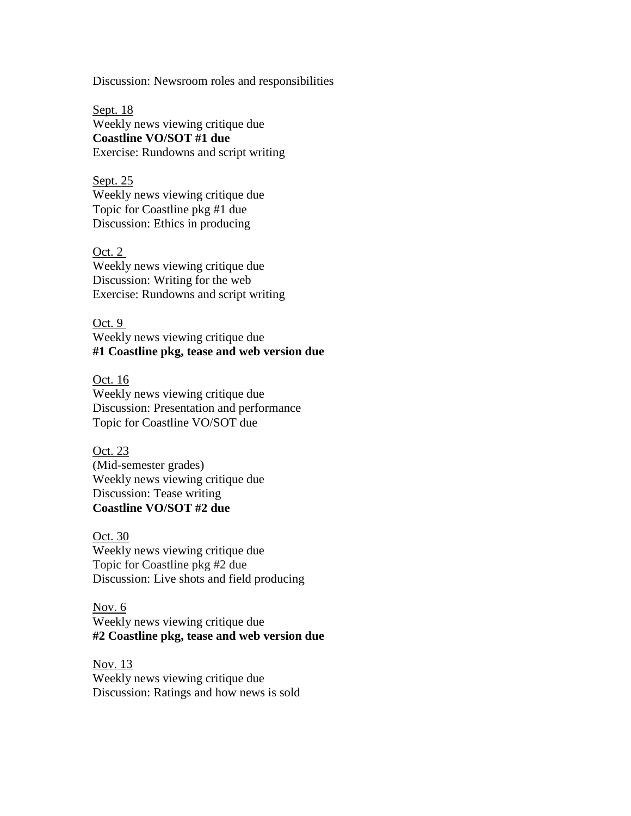Discussion: Newsroom roles and responsibilities

Sept. 18 Weekly news viewing critique due **Coastline VO/SOT #1 due** Exercise: Rundowns and script writing

Sept. 25 Weekly news viewing critique due Topic for Coastline pkg #1 due Discussion: Ethics in producing

Oct. 2 Weekly news viewing critique due Discussion: Writing for the web Exercise: Rundowns and script writing

Oct. 9 Weekly news viewing critique due **#1 Coastline pkg, tease and web version due**

Oct. 16 Weekly news viewing critique due Discussion: Presentation and performance Topic for Coastline VO/SOT due

Oct. 23 (Mid-semester grades) Weekly news viewing critique due Discussion: Tease writing **Coastline VO/SOT #2 due**

Oct. 30 Weekly news viewing critique due Topic for Coastline pkg #2 due Discussion: Live shots and field producing

Nov. 6 Weekly news viewing critique due **#2 Coastline pkg, tease and web version due**

Nov. 13 Weekly news viewing critique due Discussion: Ratings and how news is sold